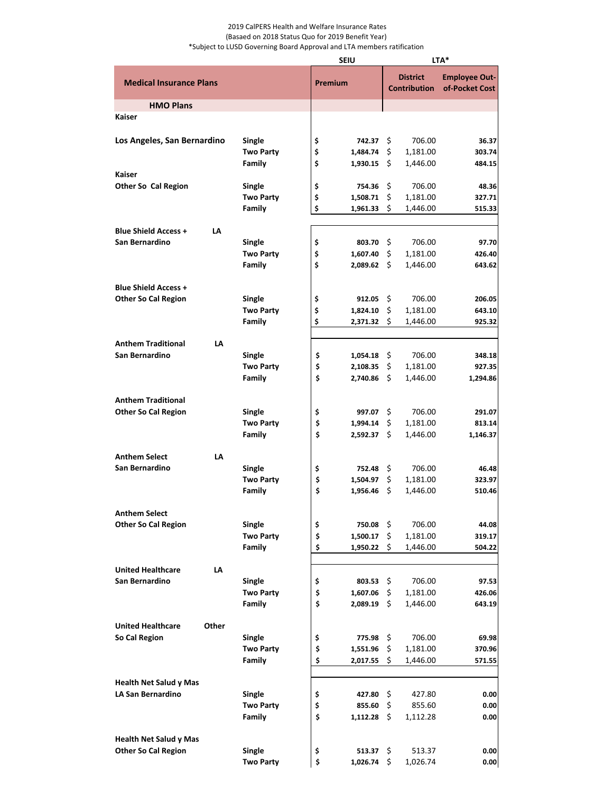## 2019 CalPERS Health and Welfare Insurance Rates (Basaed on 2018 Status Quo for 2019 Benefit Year) \*Subject to LUSD Governing Board Approval and LTA members ratification

|                                   |                            | <b>SEIU</b> |          | LTA*                                   |          |                                        |  |
|-----------------------------------|----------------------------|-------------|----------|----------------------------------------|----------|----------------------------------------|--|
| <b>Medical Insurance Plans</b>    |                            | Premium     |          | <b>District</b><br><b>Contribution</b> |          | <b>Employee Out-</b><br>of-Pocket Cost |  |
| <b>HMO Plans</b>                  |                            |             |          |                                        |          |                                        |  |
| <b>Kaiser</b>                     |                            |             |          |                                        |          |                                        |  |
| Los Angeles, San Bernardino       | Single                     | \$          | 742.37   | -\$                                    | 706.00   | 36.37                                  |  |
|                                   | <b>Two Party</b>           | \$          | 1,484.74 | \$                                     | 1,181.00 | 303.74                                 |  |
|                                   | Family                     | \$          | 1,930.15 | Ś                                      | 1,446.00 | 484.15                                 |  |
| <b>Kaiser</b>                     |                            | \$          |          | \$                                     |          | 48.36                                  |  |
| <b>Other So Cal Region</b>        | Single<br><b>Two Party</b> |             | 754.36   |                                        | 706.00   |                                        |  |
|                                   | Family                     | \$<br>\$    | 1,508.71 | \$<br>Ś                                | 1,181.00 | 327.71                                 |  |
|                                   |                            |             | 1,961.33 |                                        | 1,446.00 | 515.33                                 |  |
| <b>Blue Shield Access +</b><br>LA |                            |             |          |                                        |          |                                        |  |
| San Bernardino                    | <b>Single</b>              | \$          | 803.70   | \$                                     | 706.00   | 97.70                                  |  |
|                                   | <b>Two Party</b>           | \$          | 1,607.40 | \$                                     | 1,181.00 | 426.40                                 |  |
|                                   | Family                     | Ś           | 2,089.62 | -Ŝ                                     | 1,446.00 | 643.62                                 |  |
|                                   |                            |             |          |                                        |          |                                        |  |
| <b>Blue Shield Access +</b>       |                            |             |          |                                        |          |                                        |  |
| <b>Other So Cal Region</b>        | Single                     | \$          | 912.05   | Ŝ.                                     | 706.00   | 206.05                                 |  |
|                                   | <b>Two Party</b>           | \$          | 1,824.10 | \$                                     | 1,181.00 | 643.10                                 |  |
|                                   | Family                     | \$          | 2,371.32 | \$                                     | 1,446.00 | 925.32                                 |  |
|                                   |                            |             |          |                                        |          |                                        |  |
| <b>Anthem Traditional</b><br>LA   |                            |             |          |                                        |          |                                        |  |
| San Bernardino                    | Single                     | \$          | 1,054.18 | Ŝ.                                     | 706.00   | 348.18                                 |  |
|                                   | <b>Two Party</b>           | \$          | 2,108.35 | \$                                     | 1,181.00 | 927.35                                 |  |
|                                   | Family                     | \$          | 2,740.86 | Ś                                      | 1,446.00 | 1,294.86                               |  |
| <b>Anthem Traditional</b>         |                            |             |          |                                        |          |                                        |  |
| <b>Other So Cal Region</b>        | Single                     | \$          | 997.07   | \$                                     | 706.00   | 291.07                                 |  |
|                                   | <b>Two Party</b>           | \$          | 1,994.14 | \$                                     | 1,181.00 | 813.14                                 |  |
|                                   | Family                     | \$          | 2,592.37 | -\$                                    | 1,446.00 | 1,146.37                               |  |
|                                   |                            |             |          |                                        |          |                                        |  |
| <b>Anthem Select</b><br>LA        |                            |             |          |                                        |          |                                        |  |
| San Bernardino                    | Single                     | \$          | 752.48   | \$                                     | 706.00   | 46.48                                  |  |
|                                   | <b>Two Party</b>           | \$          | 1,504.97 | \$                                     | 1,181.00 | 323.97                                 |  |
|                                   | Family                     | \$          | 1,956.46 | \$                                     | 1,446.00 | 510.46                                 |  |
| <b>Anthem Select</b>              |                            |             |          |                                        |          |                                        |  |
| <b>Other So Cal Region</b>        | <b>Single</b>              | \$          | 750.08   | \$                                     | 706.00   | 44.08                                  |  |
|                                   | <b>Two Party</b>           | \$          | 1,500.17 | \$                                     | 1,181.00 | 319.17                                 |  |
|                                   | Family                     | \$          | 1,950.22 | \$                                     | 1,446.00 | 504.22                                 |  |
|                                   |                            |             |          |                                        |          |                                        |  |
| <b>United Healthcare</b><br>LA    |                            |             |          |                                        |          |                                        |  |
| San Bernardino                    | Single                     | \$          | 803.53   | \$                                     | 706.00   | 97.53                                  |  |
|                                   | <b>Two Party</b>           | \$          | 1,607.06 | \$                                     | 1,181.00 | 426.06                                 |  |
|                                   | Family                     | \$          | 2,089.19 | \$                                     | 1,446.00 | 643.19                                 |  |
| <b>United Healthcare</b><br>Other |                            |             |          |                                        |          |                                        |  |
| So Cal Region                     | Single                     | \$          | 775.98   | \$                                     | 706.00   | 69.98                                  |  |
|                                   | <b>Two Party</b>           | \$          | 1,551.96 | \$                                     | 1,181.00 | 370.96                                 |  |
|                                   | Family                     | \$          | 2,017.55 | \$                                     | 1,446.00 | 571.55                                 |  |
|                                   |                            |             |          |                                        |          |                                        |  |
| <b>Health Net Salud y Mas</b>     |                            |             |          |                                        |          |                                        |  |
| <b>LA San Bernardino</b>          | <b>Single</b>              | \$          | 427.80   | \$                                     | 427.80   | 0.00                                   |  |
|                                   | <b>Two Party</b>           | \$          | 855.60   | \$                                     | 855.60   | 0.00                                   |  |
|                                   | Family                     | \$          | 1,112.28 | \$                                     | 1,112.28 | 0.00                                   |  |
| <b>Health Net Salud y Mas</b>     |                            |             |          |                                        |          |                                        |  |
| <b>Other So Cal Region</b>        | Single                     | \$          | 513.37   | \$                                     | 513.37   | 0.00                                   |  |
|                                   | <b>Two Party</b>           | \$          | 1,026.74 | \$                                     | 1,026.74 | 0.00                                   |  |